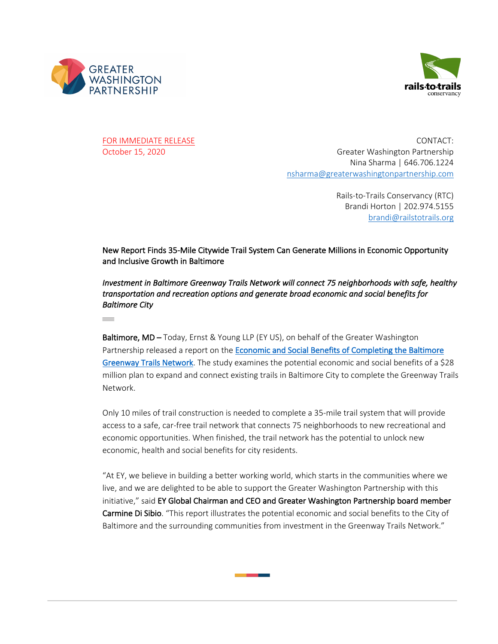

**Contract** 



FOR IMMEDIATE RELEASE CONTACT: October 15, 2020 Greater Washington Partnership Nina Sharma | 646.706.1224 nsharma@greaterwashingtonpartnership.com

> Rails-to-Trails Conservancy (RTC) Brandi Horton | 202.974.5155 brandi@railstotrails.org

New Report Finds 35-Mile Citywide Trail System Can Generate Millions in Economic Opportunity and Inclusive Growth in Baltimore

*Investment in Baltimore Greenway Trails Network will connect 75 neighborhoods with safe, healthy transportation and recreation options and generate broad economic and social benefits for Baltimore City* 

Baltimore, MD – Today, Ernst & Young LLP (EY US), on behalf of the Greater Washington Partnership released a report on the Economic and Social Benefits of Completing the Baltimore Greenway Trails Network. The study examines the potential economic and social benefits of a \$28 million plan to expand and connect existing trails in Baltimore City to complete the Greenway Trails Network.

Only 10 miles of trail construction is needed to complete a 35-mile trail system that will provide access to a safe, car-free trail network that connects 75 neighborhoods to new recreational and economic opportunities. When finished, the trail network has the potential to unlock new economic, health and social benefits for city residents.

"At EY, we believe in building a better working world, which starts in the communities where we live, and we are delighted to be able to support the Greater Washington Partnership with this initiative," said EY Global Chairman and CEO and Greater Washington Partnership board member Carmine Di Sibio. "This report illustrates the potential economic and social benefits to the City of Baltimore and the surrounding communities from investment in the Greenway Trails Network."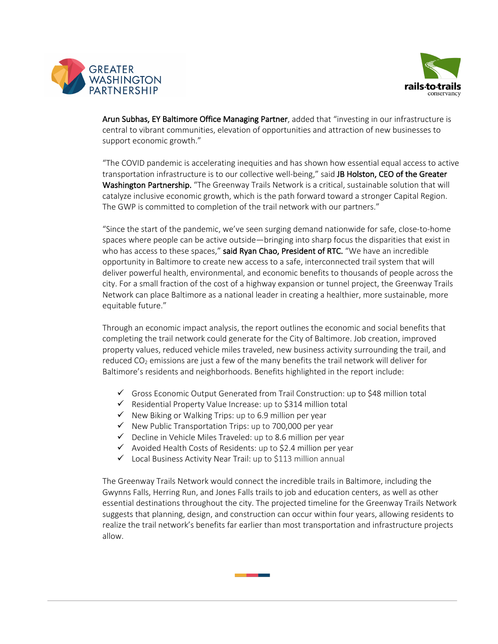



Arun Subhas, EY Baltimore Office Managing Partner, added that "investing in our infrastructure is central to vibrant communities, elevation of opportunities and attraction of new businesses to support economic growth."

"The COVID pandemic is accelerating inequities and has shown how essential equal access to active transportation infrastructure is to our collective well-being," said JB Holston, CEO of the Greater Washington Partnership. "The Greenway Trails Network is a critical, sustainable solution that will catalyze inclusive economic growth, which is the path forward toward a stronger Capital Region. The GWP is committed to completion of the trail network with our partners."

"Since the start of the pandemic, we've seen surging demand nationwide for safe, close-to-home spaces where people can be active outside—bringing into sharp focus the disparities that exist in who has access to these spaces," said Ryan Chao, President of RTC. "We have an incredible opportunity in Baltimore to create new access to a safe, interconnected trail system that will deliver powerful health, environmental, and economic benefits to thousands of people across the city. For a small fraction of the cost of a highway expansion or tunnel project, the Greenway Trails Network can place Baltimore as a national leader in creating a healthier, more sustainable, more equitable future."

Through an economic impact analysis, the report outlines the economic and social benefits that completing the trail network could generate for the City of Baltimore. Job creation, improved property values, reduced vehicle miles traveled, new business activity surrounding the trail, and reduced  $CO<sub>2</sub>$  emissions are just a few of the many benefits the trail network will deliver for Baltimore's residents and neighborhoods. Benefits highlighted in the report include:

- $\checkmark$  Gross Economic Output Generated from Trail Construction: up to \$48 million total
- $\checkmark$  Residential Property Value Increase: up to \$314 million total
- $\checkmark$  New Biking or Walking Trips: up to 6.9 million per year
- $\checkmark$  New Public Transportation Trips: up to 700,000 per year
- $\checkmark$  Decline in Vehicle Miles Traveled: up to 8.6 million per year
- $\checkmark$  Avoided Health Costs of Residents: up to \$2.4 million per year
- $\checkmark$  Local Business Activity Near Trail: up to \$113 million annual

The Greenway Trails Network would connect the incredible trails in Baltimore, including the Gwynns Falls, Herring Run, and Jones Falls trails to job and education centers, as well as other essential destinations throughout the city. The projected timeline for the Greenway Trails Network suggests that planning, design, and construction can occur within four years, allowing residents to realize the trail network's benefits far earlier than most transportation and infrastructure projects allow.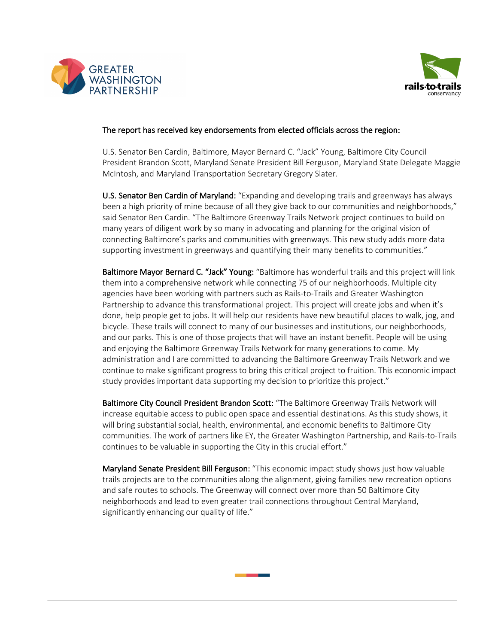



## The report has received key endorsements from elected officials across the region:

U.S. Senator Ben Cardin, Baltimore, Mayor Bernard C. "Jack" Young, Baltimore City Council President Brandon Scott, Maryland Senate President Bill Ferguson, Maryland State Delegate Maggie McIntosh, and Maryland Transportation Secretary Gregory Slater.

U.S. Senator Ben Cardin of Maryland: "Expanding and developing trails and greenways has always been a high priority of mine because of all they give back to our communities and neighborhoods," said Senator Ben Cardin. "The Baltimore Greenway Trails Network project continues to build on many years of diligent work by so many in advocating and planning for the original vision of connecting Baltimore's parks and communities with greenways. This new study adds more data supporting investment in greenways and quantifying their many benefits to communities."

Baltimore Mayor Bernard C. "Jack" Young: "Baltimore has wonderful trails and this project will link them into a comprehensive network while connecting 75 of our neighborhoods. Multiple city agencies have been working with partners such as Rails-to-Trails and Greater Washington Partnership to advance this transformational project. This project will create jobs and when it's done, help people get to jobs. It will help our residents have new beautiful places to walk, jog, and bicycle. These trails will connect to many of our businesses and institutions, our neighborhoods, and our parks. This is one of those projects that will have an instant benefit. People will be using and enjoying the Baltimore Greenway Trails Network for many generations to come. My administration and I are committed to advancing the Baltimore Greenway Trails Network and we continue to make significant progress to bring this critical project to fruition. This economic impact study provides important data supporting my decision to prioritize this project."

Baltimore City Council President Brandon Scott: "The Baltimore Greenway Trails Network will increase equitable access to public open space and essential destinations. As this study shows, it will bring substantial social, health, environmental, and economic benefits to Baltimore City communities. The work of partners like EY, the Greater Washington Partnership, and Rails-to-Trails continues to be valuable in supporting the City in this crucial effort."

Maryland Senate President Bill Ferguson: "This economic impact study shows just how valuable trails projects are to the communities along the alignment, giving families new recreation options and safe routes to schools. The Greenway will connect over more than 50 Baltimore City neighborhoods and lead to even greater trail connections throughout Central Maryland, significantly enhancing our quality of life."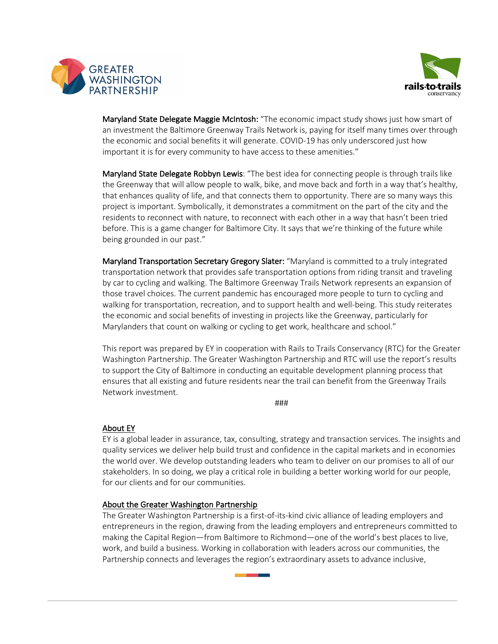



Maryland State Delegate Maggie McIntosh: "The economic impact study shows just how smart of an investment the Baltimore Greenway Trails Network is, paying for itself many times over through the economic and social benefits it will generate. COVID-19 has only underscored just how important it is for every community to have access to these amenities."

Maryland State Delegate Robbyn Lewis: "The best idea for connecting people is through trails like the Greenway that will allow people to walk, bike, and move back and forth in a way that's healthy, that enhances quality of life, and that connects them to opportunity. There are so many ways this project is important. Symbolically, it demonstrates a commitment on the part of the city and the residents to reconnect with nature, to reconnect with each other in a way that hasn't been tried before. This is a game changer for Baltimore City. It says that we're thinking of the future while being grounded in our past."

Maryland Transportation Secretary Gregory Slater: "Maryland is committed to a truly integrated transportation network that provides safe transportation options from riding transit and traveling by car to cycling and walking. The Baltimore Greenway Trails Network represents an expansion of those travel choices. The current pandemic has encouraged more people to turn to cycling and walking for transportation, recreation, and to support health and well-being. This study reiterates the economic and social benefits of investing in projects like the Greenway, particularly for Marylanders that count on walking or cycling to get work, healthcare and school."

This report was prepared by EY in cooperation with Rails to Trails Conservancy (RTC) for the Greater Washington Partnership. The Greater Washington Partnership and RTC will use the report's results to support the City of Baltimore in conducting an equitable development planning process that ensures that all existing and future residents near the trail can benefit from the Greenway Trails Network investment.

###

## About EY

EY is a global leader in assurance, tax, consulting, strategy and transaction services. The insights and quality services we deliver help build trust and confidence in the capital markets and in economies the world over. We develop outstanding leaders who team to deliver on our promises to all of our stakeholders. In so doing, we play a critical role in building a better working world for our people, for our clients and for our communities.

## About the Greater Washington Partnership

The Greater Washington Partnership is a first-of-its-kind civic alliance of leading employers and entrepreneurs in the region, drawing from the leading employers and entrepreneurs committed to making the Capital Region—from Baltimore to Richmond—one of the world's best places to live, work, and build a business. Working in collaboration with leaders across our communities, the Partnership connects and leverages the region's extraordinary assets to advance inclusive,